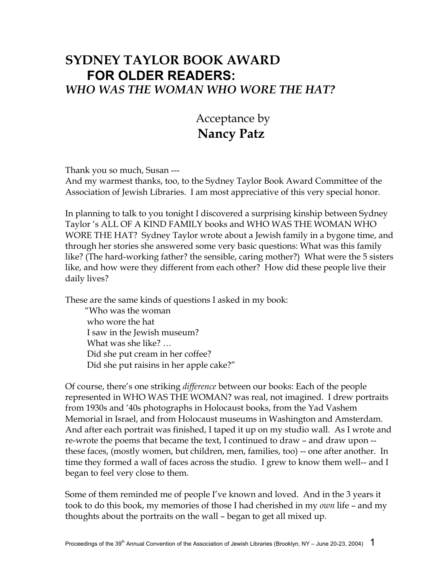## **SYDNEY TAYLOR BOOK AWARD FOR OLDER READERS:**  *WHO WAS THE WOMAN WHO WORE THE HAT?*

## Acceptance by  **Nancy Patz**

Thank you so much, Susan ---

And my warmest thanks, too, to the Sydney Taylor Book Award Committee of the Association of Jewish Libraries. I am most appreciative of this very special honor.

In planning to talk to you tonight I discovered a surprising kinship between Sydney Taylor 's ALL OF A KIND FAMILY books and WHO WAS THE WOMAN WHO WORE THE HAT? Sydney Taylor wrote about a Jewish family in a bygone time, and through her stories she answered some very basic questions: What was this family like? (The hard-working father? the sensible, caring mother?) What were the 5 sisters like, and how were they different from each other? How did these people live their daily lives?

These are the same kinds of questions I asked in my book:

 "Who was the woman who wore the hat I saw in the Jewish museum? What was she like? … Did she put cream in her coffee? Did she put raisins in her apple cake?"

Of course, there's one striking *difference* between our books: Each of the people represented in WHO WAS THE WOMAN? was real, not imagined. I drew portraits from 1930s and '40s photographs in Holocaust books, from the Yad Vashem Memorial in Israel, and from Holocaust museums in Washington and Amsterdam. And after each portrait was finished, I taped it up on my studio wall. As I wrote and re-wrote the poems that became the text, I continued to draw – and draw upon - these faces, (mostly women, but children, men, families, too) -- one after another. In time they formed a wall of faces across the studio. I grew to know them well-- and I began to feel very close to them.

Some of them reminded me of people I've known and loved. And in the 3 years it took to do this book, my memories of those I had cherished in my *own* life – and my thoughts about the portraits on the wall – began to get all mixed up.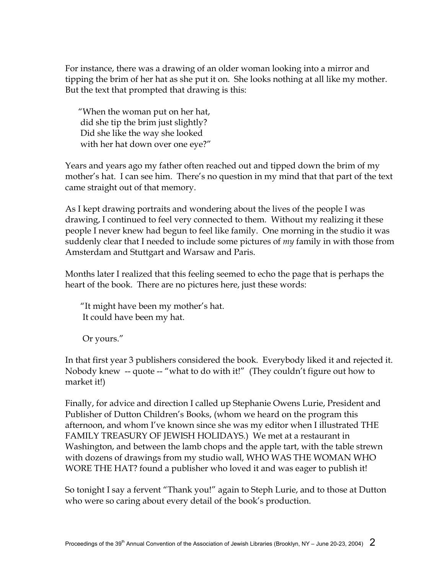For instance, there was a drawing of an older woman looking into a mirror and tipping the brim of her hat as she put it on. She looks nothing at all like my mother. But the text that prompted that drawing is this:

 "When the woman put on her hat, did she tip the brim just slightly? Did she like the way she looked with her hat down over one eye?"

Years and years ago my father often reached out and tipped down the brim of my mother's hat. I can see him. There's no question in my mind that that part of the text came straight out of that memory.

As I kept drawing portraits and wondering about the lives of the people I was drawing, I continued to feel very connected to them. Without my realizing it these people I never knew had begun to feel like family. One morning in the studio it was suddenly clear that I needed to include some pictures of *my* family in with those from Amsterdam and Stuttgart and Warsaw and Paris.

Months later I realized that this feeling seemed to echo the page that is perhaps the heart of the book. There are no pictures here, just these words:

 "It might have been my mother's hat. It could have been my hat.

Or yours."

In that first year 3 publishers considered the book. Everybody liked it and rejected it. Nobody knew -- quote -- "what to do with it!" (They couldn't figure out how to market it!)

Finally, for advice and direction I called up Stephanie Owens Lurie, President and Publisher of Dutton Children's Books, (whom we heard on the program this afternoon, and whom I've known since she was my editor when I illustrated THE FAMILY TREASURY OF JEWISH HOLIDAYS.) We met at a restaurant in Washington, and between the lamb chops and the apple tart, with the table strewn with dozens of drawings from my studio wall, WHO WAS THE WOMAN WHO WORE THE HAT? found a publisher who loved it and was eager to publish it!

So tonight I say a fervent "Thank you!" again to Steph Lurie, and to those at Dutton who were so caring about every detail of the book's production.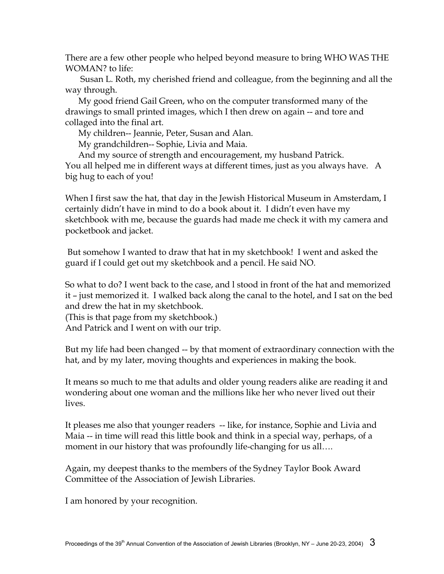There are a few other people who helped beyond measure to bring WHO WAS THE WOMAN? to life:

 Susan L. Roth, my cherished friend and colleague, from the beginning and all the way through.

 My good friend Gail Green, who on the computer transformed many of the drawings to small printed images, which I then drew on again -- and tore and collaged into the final art.

My children-- Jeannie, Peter, Susan and Alan.

My grandchildren-- Sophie, Livia and Maia.

 And my source of strength and encouragement, my husband Patrick. You all helped me in different ways at different times, just as you always have. A big hug to each of you!

When I first saw the hat, that day in the Jewish Historical Museum in Amsterdam, I certainly didn't have in mind to do a book about it. I didn't even have my sketchbook with me, because the guards had made me check it with my camera and pocketbook and jacket.

 But somehow I wanted to draw that hat in my sketchbook! I went and asked the guard if I could get out my sketchbook and a pencil. He said NO.

So what to do? I went back to the case, and l stood in front of the hat and memorized it – just memorized it. I walked back along the canal to the hotel, and I sat on the bed and drew the hat in my sketchbook.

(This is that page from my sketchbook.)

And Patrick and I went on with our trip.

But my life had been changed -- by that moment of extraordinary connection with the hat, and by my later, moving thoughts and experiences in making the book.

It means so much to me that adults and older young readers alike are reading it and wondering about one woman and the millions like her who never lived out their lives.

It pleases me also that younger readers -- like, for instance, Sophie and Livia and Maia -- in time will read this little book and think in a special way, perhaps, of a moment in our history that was profoundly life-changing for us all....

Again, my deepest thanks to the members of the Sydney Taylor Book Award Committee of the Association of Jewish Libraries.

I am honored by your recognition.